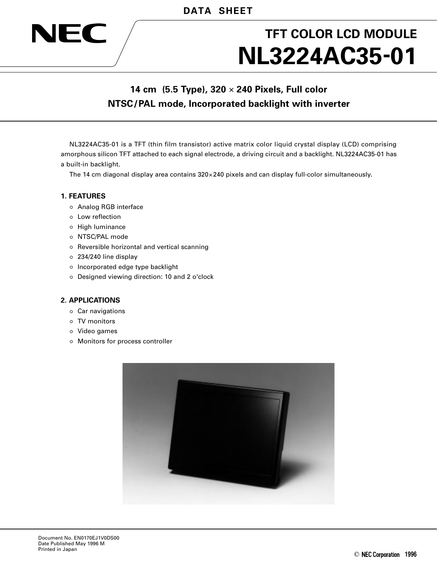# **NL3224AC35-01 TFT COLOR LCD MODULE**

# **14 cm (5.5 Type), 320** × **240 Pixels, Full color NTSC/PAL mode, Incorporated backlight with inverter**

NL3224AC35-01 is a TFT (thin film transistor) active matrix color liquid crystal display (LCD) comprising amorphous silicon TFT attached to each signal electrode, a driving circuit and a backlight. NL3224AC35-01 has a built-in backlight.

The 14 cm diagonal display area contains 320×240 pixels and can display full-color simultaneously.

#### **1. FEATURES**

NEC

- Analog RGB interface
- Low reflection
- $\circ$  High luminance
- o NTSC/PAL mode
- o Reversible horizontal and vertical scanning
- 234/240 line display
- o Incorporated edge type backlight
- o Designed viewing direction: 10 and 2 o'clock

#### **2. APPLICATIONS**

- Car navigations
- TV monitors
- Video games
- Monitors for process controller

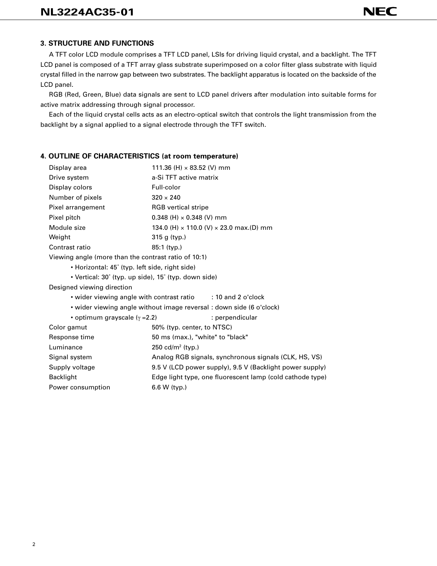### **3. STRUCTURE AND FUNCTIONS**

A TFT color LCD module comprises a TFT LCD panel, LSIs for driving liquid crystal, and a backlight. The TFT LCD panel is composed of a TFT array glass substrate superimposed on a color filter glass substrate with liquid crystal filled in the narrow gap between two substrates. The backlight apparatus is located on the backside of the LCD panel.

RGB (Red, Green, Blue) data signals are sent to LCD panel drivers after modulation into suitable forms for active matrix addressing through signal processor.

Each of the liquid crystal cells acts as an electro-optical switch that controls the light transmission from the backlight by a signal applied to a signal electrode through the TFT switch.

#### **4. OUTLINE OF CHARACTERISTICS (at room temperature)**

Power consumption 6.6 W (typ.)

| Display area                                         | 111.36 (H) $\times$ 83.52 (V) mm                                     |  |  |  |  |
|------------------------------------------------------|----------------------------------------------------------------------|--|--|--|--|
| Drive system                                         | a-Si TFT active matrix                                               |  |  |  |  |
| Display colors                                       | Full-color                                                           |  |  |  |  |
| Number of pixels                                     | $320 \times 240$                                                     |  |  |  |  |
| Pixel arrangement                                    | <b>RGB</b> vertical stripe                                           |  |  |  |  |
| Pixel pitch                                          | 0.348 (H) $\times$ 0.348 (V) mm                                      |  |  |  |  |
| Module size                                          | 134.0 (H) $\times$ 110.0 (V) $\times$ 23.0 max.(D) mm                |  |  |  |  |
| Weight                                               | 315 g (typ.)                                                         |  |  |  |  |
| Contrast ratio                                       | $85:1$ (typ.)                                                        |  |  |  |  |
| Viewing angle (more than the contrast ratio of 10:1) |                                                                      |  |  |  |  |
| • Horizontal: 45° (typ. left side, right side)       |                                                                      |  |  |  |  |
| • Vertical: 30° (typ. up side), 15° (typ. down side) |                                                                      |  |  |  |  |
| Designed viewing direction                           |                                                                      |  |  |  |  |
|                                                      | • wider viewing angle with contrast ratio : 10 and 2 o'clock         |  |  |  |  |
|                                                      | • wider viewing angle without image reversal : down side (6 o'clock) |  |  |  |  |
| • optimum grayscale $(y = 2.2)$                      | : perpendicular                                                      |  |  |  |  |
| Color gamut                                          | 50% (typ. center, to NTSC)                                           |  |  |  |  |
| Response time                                        | 50 ms (max.), "white" to "black"                                     |  |  |  |  |
| Luminance                                            | 250 cd/m <sup>2</sup> (typ.)                                         |  |  |  |  |
| Signal system                                        | Analog RGB signals, synchronous signals (CLK, HS, VS)                |  |  |  |  |
| Supply voltage                                       | 9.5 V (LCD power supply), 9.5 V (Backlight power supply)             |  |  |  |  |
| <b>Backlight</b>                                     | Edge light type, one fluorescent lamp (cold cathode type)            |  |  |  |  |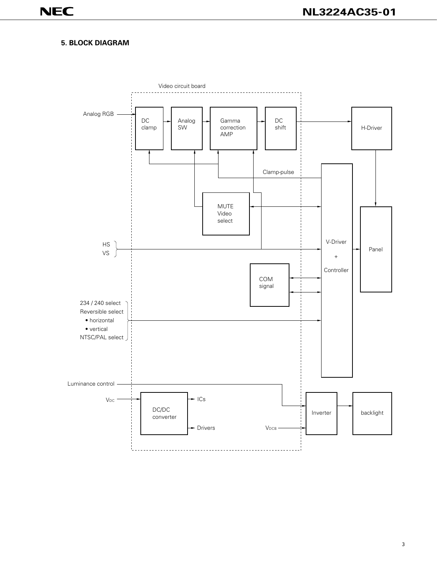#### **5. BLOCK DIAGRAM**

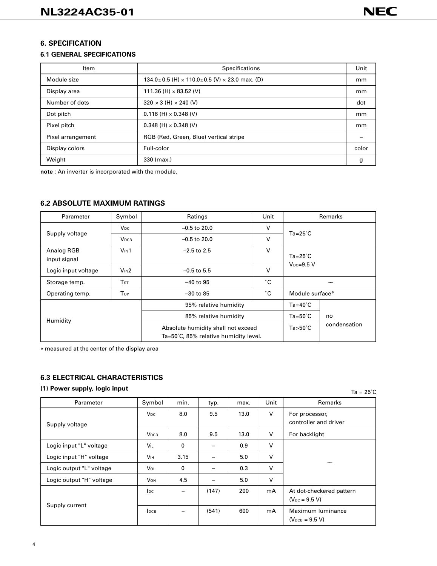#### **6. SPECIFICATION**

#### **6.1 GENERAL SPECIFICATIONS**

| Item              | Specifications                                                          |       |  |  |
|-------------------|-------------------------------------------------------------------------|-------|--|--|
| Module size       | $134.0 \pm 0.5$ (H) $\times$ 110.0 $\pm$ 0.5 (V) $\times$ 23.0 max. (D) | mm    |  |  |
| Display area      | 111.36 (H) $\times$ 83.52 (V)                                           | mm    |  |  |
| Number of dots    | $320 \times 3$ (H) $\times$ 240 (V)                                     | dot   |  |  |
| Dot pitch         | $0.116$ (H) $\times$ 0.348 (V)                                          | mm    |  |  |
| Pixel pitch       | $0.348$ (H) $\times$ 0.348 (V)                                          | mm    |  |  |
| Pixel arrangement | RGB (Red, Green, Blue) vertical stripe                                  |       |  |  |
| Display colors    | Full-color                                                              | color |  |  |
| Weight            | 330 (max.)                                                              | g     |  |  |

**note** : An inverter is incorporated with the module.

#### **6.2 ABSOLUTE MAXIMUM RATINGS**

| Parameter                  | Symbol                 | Ratings                                                                     | Unit                        |                                      | Remarks |  |
|----------------------------|------------------------|-----------------------------------------------------------------------------|-----------------------------|--------------------------------------|---------|--|
|                            | <b>V<sub>DC</sub></b>  | $-0.5$ to 20.0                                                              | $\vee$                      |                                      |         |  |
| Supply voltage             | <b>VDCB</b>            | $-0.5$ to 20.0                                                              | $Ta = 25^\circ C$<br>$\vee$ |                                      |         |  |
| Analog RGB<br>input signal | V <sub>IN</sub> 1      | $-2.5$ to 2.5                                                               | v                           | $Ta = 25^{\circ}C$<br>$V_{DC}=9.5$ V |         |  |
| Logic input voltage        | V <sub>IN</sub> 2      | $-0.5$ to 5.5                                                               | $\vee$                      |                                      |         |  |
| Storage temp.              | <b>T</b> <sub>ST</sub> | $-40$ to 95                                                                 | ۰с                          |                                      |         |  |
| Operating temp.            | Top                    | $-30$ to 85                                                                 | ۰с                          | Module surface*                      |         |  |
|                            |                        | 95% relative humidity                                                       |                             | $Ta=40^{\circ}C$                     |         |  |
| Humidity                   |                        | 85% relative humidity                                                       | $Ta=50^{\circ}C$            | no                                   |         |  |
|                            |                        | Absolute humidity shall not exceed<br>Ta=50°C, 85% relative humidity level. | $Ta>50^{\circ}C$            | condensation                         |         |  |

∗ measured at the center of the display area

#### **6.3 ELECTRICAL CHARACTERISTICS**

#### **(1) Power supply, logic input**

| Parameter                | Symbol                  | min. | typ.  | max. | Unit   | Remarks                                        |
|--------------------------|-------------------------|------|-------|------|--------|------------------------------------------------|
| Supply voltage           | <b>V<sub>DC</sub></b>   | 8.0  | 9.5   | 13.0 | $\vee$ | For processor,<br>controller and driver        |
|                          | <b>V</b> <sub>DCВ</sub> | 8.0  | 9.5   | 13.0 | $\vee$ | For backlight                                  |
| Logic input "L" voltage  | <b>VIL</b>              | 0    |       | 0.9  | v      |                                                |
| Logic input "H" voltage  | <b>V<sub>IH</sub></b>   | 3.15 |       | 5.0  | v      |                                                |
| Logic output "L" voltage | Vol                     | 0    | —     | 0.3  | $\vee$ |                                                |
| Logic output "H" voltage | <b>V</b> он             | 4.5  |       | 5.0  | v      |                                                |
|                          | <b>l</b> pc             | -    | (147) | 200  | mA     | At dot-checkered pattern<br>$(V_{DC} = 9.5 V)$ |
| Supply current           | <b>IDCB</b>             |      | (541) | 600  | mA     | Maximum luminance<br>$(V_{DCB} = 9.5 V)$       |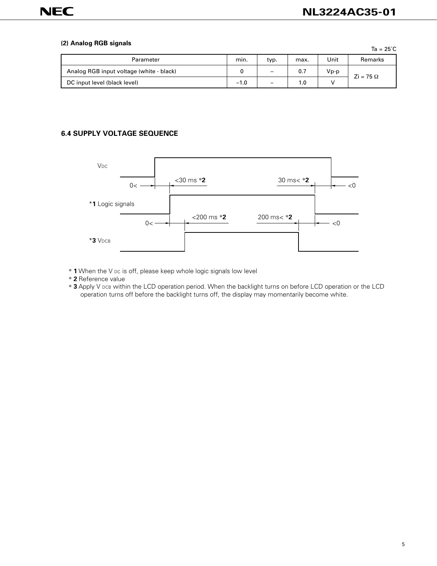#### **(2) Analog RGB signals**

|                                          |        |                          |      |        | $Ta = 25^{\circ}C$             |
|------------------------------------------|--------|--------------------------|------|--------|--------------------------------|
| Parameter                                | min.   | typ.                     | max. | Unit   | <b>Remarks</b>                 |
| Analog RGB input voltage (white - black) |        | $\qquad \qquad -$        | 0.7  | $Vp-p$ | $\overline{z}$ i = 75 $\Omega$ |
| DC input level (black level)             | $-1.0$ | $\overline{\phantom{0}}$ | 1.0  |        |                                |

# **6.4 SUPPLY VOLTAGE SEQUENCE**



- ∗ **1**When the V DC is off, please keep whole logic signals low level
- ∗ **2**Reference value
- ∗ **3**Apply V DCB within the LCD operation period. When the backlight turns on before LCD operation or the LCD operation turns off before the backlight turns off, the display may momentarily become white.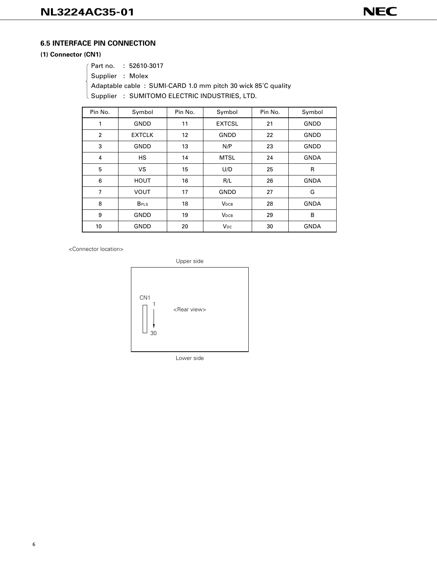#### **6.5 INTERFACE PIN CONNECTION**

#### **(1) Connector (CN1)**

Supplier : Molex

Adaptable cable : SUMI-CARD 1.0 mm pitch 30 wick 85˚C quality

Supplier : SUMITOMO ELECTRIC INDUSTRIES, LTD.

| Pin No.        | Symbol                  | Pin No. | Symbol                  | Pin No. | Symbol      |
|----------------|-------------------------|---------|-------------------------|---------|-------------|
| 1              | <b>GNDD</b>             | 11      | <b>EXTCSL</b>           | 21      | GNDD        |
| $\overline{2}$ | <b>EXTCLK</b>           | 12      | <b>GNDD</b>             | 22      | GNDD        |
| 3              | <b>GNDD</b>             | 13      | N/P                     | 23      | GNDD        |
| 4              | <b>HS</b>               | 14      | <b>MTSL</b>             | 24      | <b>GNDA</b> |
| 5              | <b>VS</b>               | 15      | U/D                     | 25      | R           |
| 6              | <b>HOUT</b>             | 16      | R/L                     | 26      | <b>GNDA</b> |
| 7              | <b>VOUT</b>             | 17      | <b>GNDD</b>             | 27      | G           |
| 8              | <b>B</b> <sub>PLS</sub> | 18      | <b>V</b> <sub>DCВ</sub> | 28      | <b>GNDA</b> |
| 9              | <b>GNDD</b>             | 19      | <b>VDCB</b>             | 29      | в           |
| 10             | <b>GNDD</b>             | 20      | <b>V<sub>DC</sub></b>   | 30      | <b>GNDA</b> |

<Connector location>



Lower side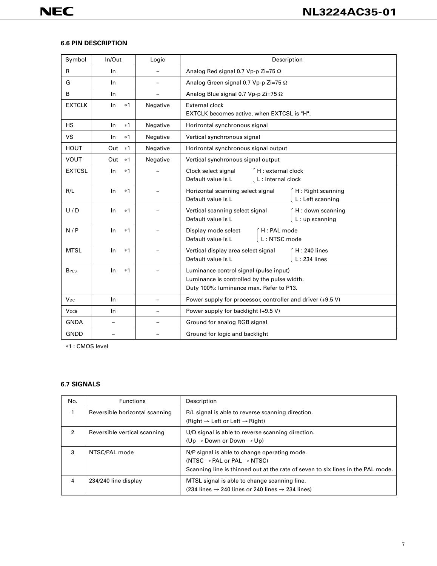#### **6.6 PIN DESCRIPTION**

| Symbol                  | In/Out      | Logic    | Description                                                                                                                      |  |  |  |  |
|-------------------------|-------------|----------|----------------------------------------------------------------------------------------------------------------------------------|--|--|--|--|
| $\mathsf{R}$            | In          |          | Analog Red signal 0.7 Vp-p Zi=75 $\Omega$                                                                                        |  |  |  |  |
| G                       | In.         |          | Analog Green signal 0.7 Vp-p Zi=75 Ω                                                                                             |  |  |  |  |
| B                       | In          |          | Analog Blue signal 0.7 Vp-p Zi=75 Ω                                                                                              |  |  |  |  |
| <b>EXTCLK</b>           | In<br>$*1$  | Negative | <b>External clock</b><br>EXTCLK becomes active, when EXTCSL is "H".                                                              |  |  |  |  |
| <b>HS</b>               | In.<br>$*1$ | Negative | Horizontal synchronous signal                                                                                                    |  |  |  |  |
| VS                      | In.<br>$*1$ | Negative | Vertical synchronous signal                                                                                                      |  |  |  |  |
| <b>HOUT</b>             | Out<br>$*1$ | Negative | Horizontal synchronous signal output                                                                                             |  |  |  |  |
| <b>VOUT</b>             | $*1$<br>Out | Negative | Vertical synchronous signal output                                                                                               |  |  |  |  |
| <b>EXTCSL</b>           | $*1$<br>In  |          | Clock select signal<br>H : external clock<br>Default value is L<br>L: internal clock                                             |  |  |  |  |
| R/L                     | In.<br>$*1$ |          | Horizontal scanning select signal<br>H: Right scanning<br>L: Left scanning<br>Default value is L                                 |  |  |  |  |
| U/D                     | In<br>$*1$  |          | Vertical scanning select signal<br>H: down scanning<br>Default value is L<br>$L:$ up scanning                                    |  |  |  |  |
| N/P                     | In<br>$*1$  |          | H : PAL mode<br>Display mode select<br>Default value is L<br>L: NTSC mode                                                        |  |  |  |  |
| <b>MTSL</b>             | $*1$<br>In  |          | Vertical display area select signal<br>$H: 240$ lines<br>Default value is L<br>$L: 234$ lines                                    |  |  |  |  |
| <b>B</b> <sub>PLS</sub> | In.<br>$*1$ |          | Luminance control signal (pulse input)<br>Luminance is controlled by the pulse width.<br>Duty 100%: luminance max. Refer to P13. |  |  |  |  |
| <b>V<sub>DC</sub></b>   | In.         |          | Power supply for processor, controller and driver (+9.5 V)                                                                       |  |  |  |  |
| <b>V</b> <sub>DCВ</sub> | In.         |          | Power supply for backlight (+9.5 V)                                                                                              |  |  |  |  |
| <b>GNDA</b>             |             |          | Ground for analog RGB signal                                                                                                     |  |  |  |  |
| <b>GNDD</b>             |             |          | Ground for logic and backlight                                                                                                   |  |  |  |  |

∗1 : CMOS level

# **6.7 SIGNALS**

| No. | <b>Functions</b>               | Description                                                                                                                                                                           |
|-----|--------------------------------|---------------------------------------------------------------------------------------------------------------------------------------------------------------------------------------|
|     | Reversible horizontal scanning | R/L signal is able to reverse scanning direction.<br>(Right $\rightarrow$ Left or Left $\rightarrow$ Right)                                                                           |
| 2   | Reversible vertical scanning   | U/D signal is able to reverse scanning direction.<br>$(Up \rightarrow Down$ or Down $\rightarrow Up$ )                                                                                |
| 3   | NTSC/PAL mode                  | N/P signal is able to change operating mode.<br>(NTSC $\rightarrow$ PAL or PAL $\rightarrow$ NTSC)<br>Scanning line is thinned out at the rate of seven to six lines in the PAL mode. |
| 4   | 234/240 line display           | MTSL signal is able to change scanning line.<br>$(234 \text{ lines} \rightarrow 240 \text{ lines} \text{ or } 240 \text{ lines} \rightarrow 234 \text{ lines})$                       |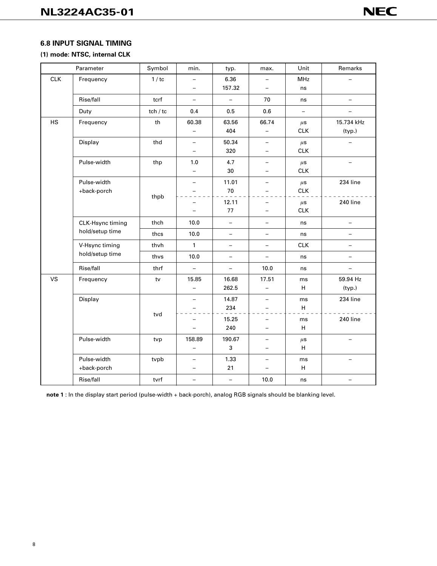#### **6.8 INPUT SIGNAL TIMING**

#### **(1) mode: NTSC, internal CLK**

|            | Parameter                         | Symbol   | min.                     | typ.                     | max.                     | Unit                     | Remarks                  |
|------------|-----------------------------------|----------|--------------------------|--------------------------|--------------------------|--------------------------|--------------------------|
| <b>CLK</b> | Frequency                         | 1/tc     | $\overline{\phantom{0}}$ | 6.36                     | $\overline{\phantom{0}}$ | <b>MHz</b>               |                          |
|            |                                   |          | $\overline{\phantom{0}}$ | 157.32                   | $\overline{\phantom{0}}$ | ns                       |                          |
|            | Rise/fall                         | tcrf     | $\overline{\phantom{0}}$ | $\qquad \qquad -$        | 70                       | ns                       | $\equiv$                 |
|            | Duty                              | tch / tc | 0.4                      | 0.5                      | 0.6                      | $\overline{\phantom{a}}$ | <u>.</u>                 |
| <b>HS</b>  | Frequency                         | th       | 60.38                    | 63.56                    | 66.74                    | $\mu$ s                  | 15.734 kHz               |
|            |                                   |          | $\overline{\phantom{0}}$ | 404                      | $\qquad \qquad -$        | <b>CLK</b>               | (typ.)                   |
|            | Display                           | thd      | $\qquad \qquad -$        | 50.34                    | $\overline{\phantom{0}}$ | $\mu$ s                  | —                        |
|            |                                   |          | $\overline{\phantom{0}}$ | 320                      | $\overline{\phantom{0}}$ | <b>CLK</b>               |                          |
|            | Pulse-width                       | thp      | 1.0                      | 4.7                      |                          | $\mu$ s                  |                          |
|            |                                   |          |                          | 30                       |                          | <b>CLK</b>               |                          |
|            | Pulse-width                       |          | $\overline{\phantom{0}}$ | 11.01                    | $\qquad \qquad -$        | $\mu$ s                  | 234 line                 |
|            | +back-porch                       | thpb     |                          | 70                       | $\overline{\phantom{0}}$ | <b>CLK</b>               |                          |
|            |                                   |          |                          | 12.11                    | $\overline{\phantom{0}}$ | $\mu$ s                  | 240 line                 |
|            |                                   |          |                          | 77                       | $\overline{\phantom{0}}$ | <b>CLK</b>               |                          |
|            | CLK-Hsync timing                  | thch     | 10.0                     | $\equiv$                 | -                        | ns                       | $\overline{\phantom{0}}$ |
|            | hold/setup time                   | thcs     | 10.0                     | $\qquad \qquad -$        | $\overline{\phantom{0}}$ | ns                       | $\overline{\phantom{0}}$ |
|            | V-Hsync timing<br>hold/setup time | thvh     | 1                        | $\qquad \qquad -$        | $\qquad \qquad -$        | <b>CLK</b>               | $\overline{\phantom{0}}$ |
|            |                                   | thvs     | 10.0                     | $\overline{\phantom{0}}$ | $\overline{\phantom{0}}$ | ns                       | $\overline{\phantom{0}}$ |
|            | Rise/fall                         | thrf     | $\overline{\phantom{0}}$ | $\overline{\phantom{m}}$ | 10.0                     | ns                       | $-$                      |
| <b>VS</b>  | Frequency                         | tv       | 15.85                    | 16.68                    | 17.51                    | ms                       | 59.94 Hz                 |
|            |                                   |          |                          | 262.5                    | $\overline{\phantom{0}}$ | H                        | (typ.)                   |
|            | Display                           |          | $\overline{\phantom{0}}$ | 14.87                    | $\overline{\phantom{0}}$ | ms                       | 234 line                 |
|            |                                   | tvd      |                          | 234                      | $\overline{\phantom{0}}$ | H                        |                          |
|            |                                   |          |                          | 15.25                    | $\overline{\phantom{0}}$ | ms                       | 240 line                 |
|            |                                   |          | $\overline{\phantom{0}}$ | 240                      | -                        | H                        |                          |
|            | Pulse-width                       | tvp      | 158.89                   | 190.67                   |                          | $\mu$ s                  |                          |
|            |                                   |          |                          | 3                        | $\overline{\phantom{0}}$ | H                        |                          |
|            | Pulse-width                       | tvpb     | $\overline{\phantom{0}}$ | 1.33                     | $\overline{\phantom{0}}$ | ms                       |                          |
|            | +back-porch                       |          |                          | 21                       | $\overline{\phantom{0}}$ | H                        |                          |
|            | Rise/fall                         | tvrf     | $\overline{\phantom{0}}$ | $\qquad \qquad -$        | 10.0                     | ns                       |                          |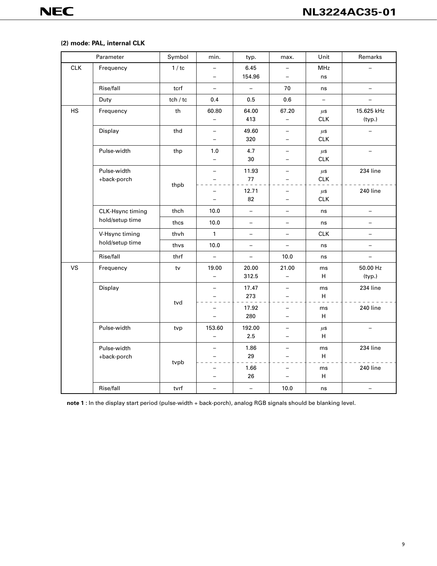# **(2) mode: PAL, internal CLK**

|            | Parameter        | Symbol   | min.                     | typ.                     | max.                     | Unit                     | Remarks                  |
|------------|------------------|----------|--------------------------|--------------------------|--------------------------|--------------------------|--------------------------|
| <b>CLK</b> | Frequency        | 1/tc     |                          | 6.45                     | $\qquad \qquad -$        | <b>MHz</b>               |                          |
|            |                  |          | $\overline{\phantom{0}}$ | 154.96                   | $\overline{\phantom{0}}$ | ns                       |                          |
|            | Rise/fall        | tcrf     | $\qquad \qquad -$        | $\bar{ }$                | 70                       | ns                       | $\qquad \qquad -$        |
|            | Duty             | tch / tc | 0.4                      | 0.5                      | 0.6                      | $\overline{\phantom{0}}$ |                          |
| HS         | Frequency        | th       | 60.80                    | 64.00                    | 67.20                    | $\mu$ s                  | 15.625 kHz               |
|            |                  |          | $\overline{\phantom{0}}$ | 413                      | $\overline{\phantom{0}}$ | <b>CLK</b>               | (typ.)                   |
|            | Display          | thd      | $\overline{\phantom{0}}$ | 49.60                    | $\overline{\phantom{0}}$ | $\mu$ s                  |                          |
|            |                  |          | -                        | 320                      | $\overline{\phantom{0}}$ | <b>CLK</b>               |                          |
|            | Pulse-width      | thp      | 1.0                      | 4.7                      | $\overline{\phantom{0}}$ | $\mu$ s                  |                          |
|            |                  |          | $\overline{\phantom{0}}$ | 30                       | $\overline{\phantom{0}}$ | CLK                      |                          |
|            | Pulse-width      |          | $\overline{\phantom{0}}$ | 11.93                    | $\qquad \qquad -$        | $\mu$ s                  | 234 line                 |
|            | +back-porch      | thpb     | $\overline{\phantom{0}}$ | 77                       | $\overline{\phantom{0}}$ | <b>CLK</b>               |                          |
|            |                  |          |                          | 12.71                    | $\overline{\phantom{0}}$ | $\mu$ s                  | 240 line                 |
|            |                  |          | -                        | 82                       | $\overline{\phantom{0}}$ | CLK                      |                          |
|            | CLK-Hsync timing | thch     | 10.0                     | $\qquad \qquad -$        | -                        | ns                       |                          |
|            | hold/setup time  | thcs     | 10.0                     | $\qquad \qquad -$        | $\qquad \qquad -$        | ns                       |                          |
|            | V-Hsync timing   | thvh     | $\mathbf{1}$             | $\qquad \qquad -$        | $\qquad \qquad -$        | <b>CLK</b>               | $\overline{\phantom{0}}$ |
|            | hold/setup time  | thvs     | 10.0                     | $\qquad \qquad -$        | $\overline{\phantom{a}}$ | ns                       | $\overline{\phantom{0}}$ |
|            | Rise/fall        | thrf     | $\overline{\phantom{0}}$ | $\overline{\phantom{0}}$ | 10.0                     | ns                       | $\overline{\phantom{0}}$ |
| <b>VS</b>  | Frequency        | tv       | 19.00                    | 20.00                    | 21.00                    | ms                       | 50.00 Hz                 |
|            |                  |          | $\equiv$                 | 312.5                    | $\overline{\phantom{0}}$ | H                        | (typ.)                   |
|            | Display          |          | $\overline{\phantom{0}}$ | 17.47                    | $\qquad \qquad -$        | ms                       | 234 line                 |
|            |                  |          |                          | 273                      | $\overline{\phantom{a}}$ | H                        |                          |
|            |                  | tvd      |                          | 17.92                    | $\overline{\phantom{0}}$ | ms                       | 240 line                 |
|            |                  |          | $\overline{\phantom{0}}$ | 280                      | $\overline{\phantom{0}}$ | H                        |                          |
|            | Pulse-width      | tvp      | 153.60                   | 192.00                   | $\overline{\phantom{0}}$ | $\mu$ s                  |                          |
|            |                  |          | $\overline{\phantom{0}}$ | 2.5                      | $\overline{\phantom{0}}$ | H                        |                          |
|            | Pulse-width      |          | $\overline{\phantom{0}}$ | 1.86                     | $\qquad \qquad -$        | ms                       | 234 line                 |
|            | +back-porch      |          |                          | 29                       |                          | H                        |                          |
|            |                  | tvpb     |                          | 1.66                     |                          | ms                       | 240 line                 |
|            |                  |          |                          | 26                       | $\overline{a}$           | H                        |                          |
|            | Rise/fall        | tvrf     | —                        | $\overline{\phantom{0}}$ | 10.0                     | ns                       |                          |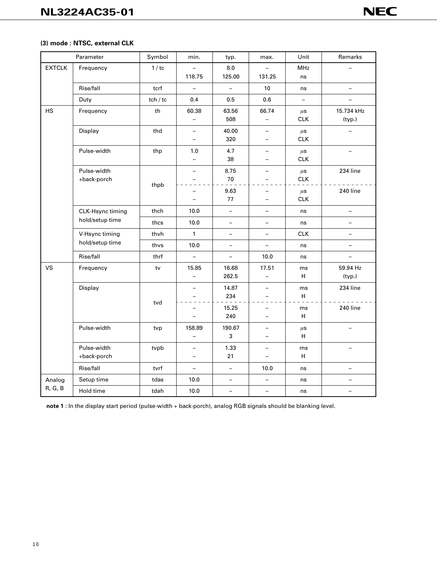# **(3) mode : NTSC, external CLK**

| Parameter         |                                     | Symbol   | min.                                                 | typ.                     | max.                                                 | Unit                     | Remarks                  |
|-------------------|-------------------------------------|----------|------------------------------------------------------|--------------------------|------------------------------------------------------|--------------------------|--------------------------|
| <b>EXTCLK</b>     | Frequency                           | 1/tc     | $\overline{\phantom{0}}$<br>118.75                   | 8.0<br>125.00            | 131.25                                               | <b>MHz</b><br>ns         |                          |
|                   | Rise/fall                           | tcrf     | $\equiv$                                             | $\qquad \qquad -$        | 10                                                   | ns                       | $\overline{a}$           |
|                   | Duty                                | tch / tc | 0.4                                                  | 0.5                      | 0.6                                                  | $\overline{\phantom{a}}$ | $\qquad \qquad -$        |
| <b>HS</b>         | Frequency                           | th       | 60.38<br>$\overline{\phantom{0}}$                    | 63.56<br>508             | 66.74<br>$\overline{\phantom{0}}$                    | $\mu$ s<br>CLK           | 15.734 kHz<br>(typ.)     |
|                   | Display                             | thd      | $\overline{\phantom{0}}$                             | 40.00<br>320             | $\overline{\phantom{0}}$<br>$\overline{\phantom{0}}$ | $\mu$ s<br><b>CLK</b>    |                          |
|                   | Pulse-width                         | thp      | 1.0<br>$\overline{\phantom{0}}$                      | 4.7<br>38                | $\overline{\phantom{0}}$<br>$\overline{\phantom{0}}$ | $\mu$ s<br><b>CLK</b>    | $\equiv$                 |
|                   | Pulse-width<br>+back-porch          | thpb     | $\overline{\phantom{0}}$                             | 8.75<br>70               | $\overline{\phantom{0}}$                             | $\mu$ s<br><b>CLK</b>    | 234 line                 |
|                   |                                     |          | $\qquad \qquad -$                                    | 9.63<br>77               | $\overline{\phantom{0}}$<br>$\overline{a}$           | $\mu$ s<br><b>CLK</b>    | 240 line                 |
|                   | CLK-Hsync timing<br>hold/setup time | thch     | 10.0                                                 | $\qquad \qquad -$        | $\overline{\phantom{0}}$                             | ns                       | $\equiv$                 |
|                   |                                     | thcs     | 10.0                                                 | $\overline{\phantom{0}}$ | $\overline{\phantom{0}}$                             | ns                       | $\overline{\phantom{0}}$ |
|                   | V-Hsync timing<br>hold/setup time   | thvh     | $\mathbf{1}$                                         | $\overline{\phantom{0}}$ | $\overline{\phantom{0}}$                             | <b>CLK</b>               | $\overline{\phantom{0}}$ |
|                   |                                     | thvs     | 10.0                                                 | $\overline{\phantom{0}}$ | $\overline{\phantom{0}}$                             | ns                       | $\qquad \qquad -$        |
|                   | Rise/fall                           | thrf     | $\overline{\phantom{0}}$                             | $\overline{\phantom{m}}$ | 10.0                                                 | ns                       | $\overline{\phantom{0}}$ |
| <b>VS</b>         | Frequency                           | $t$ v    | 15.85<br>$\equiv$                                    | 16.68<br>262.5           | 17.51<br>$\overline{a}$                              | ms<br>H.                 | 59.94 Hz<br>(typ.)       |
|                   | Display                             | tvd      | $\overline{a}$                                       | 14.87<br>234             | $\overline{\phantom{0}}$                             | ms<br>H                  | 234 line                 |
|                   |                                     |          | $\overline{\phantom{0}}$<br>$\overline{\phantom{0}}$ | 15.25<br>240             | $\overline{\phantom{0}}$<br>$\overline{\phantom{0}}$ | ms<br>H                  | 240 line                 |
|                   | Pulse-width                         | tvp      | 158.89<br>$\overline{\phantom{0}}$                   | 190.67<br>3              | $\overline{\phantom{0}}$                             | $\mu$ s<br>H             |                          |
|                   | Pulse-width<br>+back-porch          | tvpb     | $\overline{\phantom{0}}$<br>$\overline{\phantom{0}}$ | 1.33<br>21               | $\overline{\phantom{0}}$<br>$\overline{\phantom{0}}$ | ms<br>H                  | $\overline{\phantom{0}}$ |
|                   | Rise/fall                           | tvrf     | $\overline{\phantom{0}}$                             | $\overline{\phantom{a}}$ | 10.0                                                 | ns                       | $\qquad \qquad -$        |
| Analog<br>R, G, B | Setup time                          | tdas     | 10.0                                                 | $\qquad \qquad -$        | $\overline{\phantom{0}}$                             | ns                       | $\overline{a}$           |
|                   | Hold time                           | tdah     | 10.0                                                 | $\qquad \qquad -$        | $\overline{\phantom{0}}$                             | ns                       | $\overline{\phantom{0}}$ |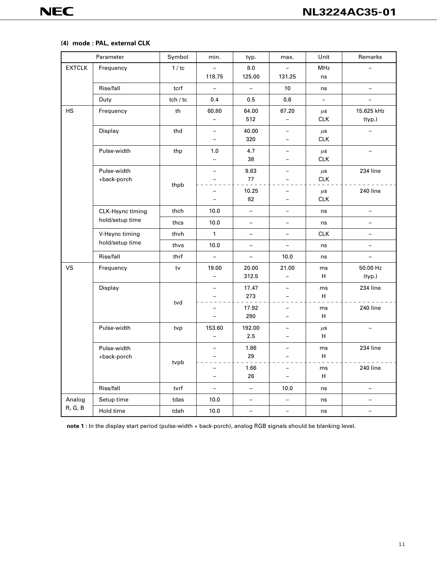#### **(4) mode : PAL, external CLK**

| Parameter         |                                     | Symbol   | min.                                                 | typ.                     | max.                                                 | Unit                     | Remarks                  |
|-------------------|-------------------------------------|----------|------------------------------------------------------|--------------------------|------------------------------------------------------|--------------------------|--------------------------|
| <b>EXTCLK</b>     | Frequency                           | 1/tc     | 118.75                                               | 8.0<br>125.00            | 131.25                                               | MHz<br>ns                |                          |
|                   | Rise/fall                           | tcrf     | $\overline{\phantom{0}}$                             | $\overline{\phantom{0}}$ | 10                                                   | ns                       | $\overline{\phantom{0}}$ |
|                   | Duty                                | tch / tc | 0.4                                                  | 0.5                      | 0.6                                                  | $\overline{\phantom{0}}$ | $\overline{\phantom{0}}$ |
| <b>HS</b>         | Frequency                           | th       | 60.80<br>$\overline{\phantom{0}}$                    | 64.00<br>512             | 67.20<br>$\overline{\phantom{a}}$                    | $\mu$ s<br><b>CLK</b>    | 15.625 kHz<br>(typ.)     |
|                   | Display                             | thd      | $\overline{\phantom{0}}$<br>$\overline{\phantom{0}}$ | 40.00<br>320             | $\qquad \qquad -$<br>$\overline{\phantom{0}}$        | $\mu$ s<br><b>CLK</b>    |                          |
|                   | Pulse-width                         | thp      | 1.0<br>$\overline{\phantom{0}}$                      | 4.7<br>38                | $\qquad \qquad -$<br>$\overline{\phantom{0}}$        | $\mu$ s<br><b>CLK</b>    | $\overline{\phantom{0}}$ |
|                   | Pulse-width<br>+back-porch          | thpb     | $\overline{\phantom{0}}$                             | 9.63<br>77               | $\qquad \qquad -$                                    | $\mu$ s<br><b>CLK</b>    | 234 line                 |
|                   |                                     |          | $\overline{\phantom{0}}$                             | 10.25<br>82              | $\overline{a}$<br>$\qquad \qquad -$                  | $\mu$ s<br><b>CLK</b>    | 240 line                 |
|                   | CLK-Hsync timing<br>hold/setup time | thch     | 10.0                                                 | $\equiv$                 | $\overline{\phantom{0}}$                             | ns                       | $\overline{a}$           |
|                   |                                     | thcs     | 10.0                                                 | $\overline{\phantom{0}}$ | $\overline{\phantom{0}}$                             | ns                       | $\overline{\phantom{0}}$ |
|                   | V-Hsync timing<br>hold/setup time   | thvh     | 1                                                    | $\qquad \qquad -$        | $\overline{\phantom{0}}$                             | <b>CLK</b>               | $\qquad \qquad -$        |
|                   |                                     | thvs     | 10.0                                                 | $\qquad \qquad -$        | $\qquad \qquad -$                                    | ns                       | $\overline{\phantom{0}}$ |
|                   | Rise/fall                           | thrf     | $\overline{\phantom{0}}$                             | $\qquad \qquad -$        | 10.0                                                 | ns                       | $\overline{a}$           |
| <b>VS</b>         | Frequency                           | tv       | 19.00<br>$\overline{\phantom{0}}$                    | 20.00<br>312.5           | 21.00<br>$\qquad \qquad -$                           | ms<br>н                  | 50.00 Hz<br>(typ.)       |
|                   | Display                             | tvd      | -                                                    | 17.47<br>273             | $\qquad \qquad -$                                    | ms<br>н                  | 234 line                 |
|                   |                                     |          | $\overline{\phantom{0}}$<br>$\overline{\phantom{0}}$ | 17.92<br>280             | $\overline{\phantom{0}}$<br>$\overline{\phantom{0}}$ | ms<br>н                  | 240 line                 |
|                   | Pulse-width                         | tvp      | 153.60<br>$\overline{\phantom{0}}$                   | 192.00<br>2.5            | $\overline{\phantom{0}}$<br>$\overline{\phantom{0}}$ | $\mu$ s<br>H             |                          |
|                   | Pulse-width<br>+back-porch          | tvpb     | $\overline{\phantom{0}}$                             | 1.86<br>29               | $\qquad \qquad -$<br>$\overline{\phantom{0}}$        | ms<br>H                  | 234 line                 |
|                   |                                     |          |                                                      | 1.66<br>26               | $\qquad \qquad -$                                    | ms<br>H                  | 240 line                 |
|                   | Rise/fall                           | tvrf     | $\overline{\phantom{0}}$                             | $\qquad \qquad -$        | 10.0                                                 | ns                       | $\overline{a}$           |
| Analog<br>R, G, B | Setup time                          | tdas     | 10.0                                                 | $\overline{\phantom{0}}$ | $\overline{\phantom{0}}$                             | ns                       |                          |
|                   | Hold time                           | tdah     | 10.0                                                 | $\qquad \qquad -$        | $\qquad \qquad -$                                    | ns                       | $\qquad \qquad -$        |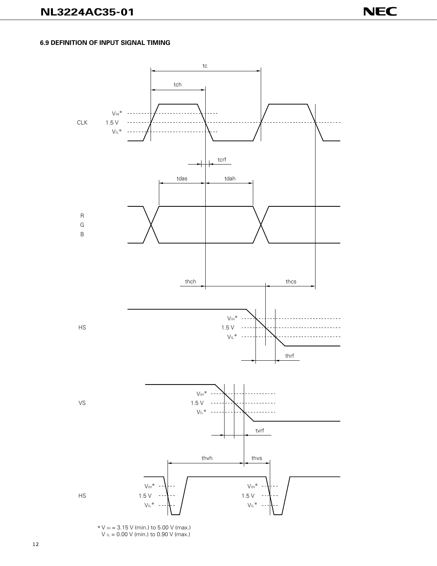#### **6.9 DEFINITION OF INPUT SIGNAL TIMING**



∗V IH = 3.15 V (min.) to 5.00 V (max.)  $V = 0.00 V$  (min.) to 0.90 V (max.)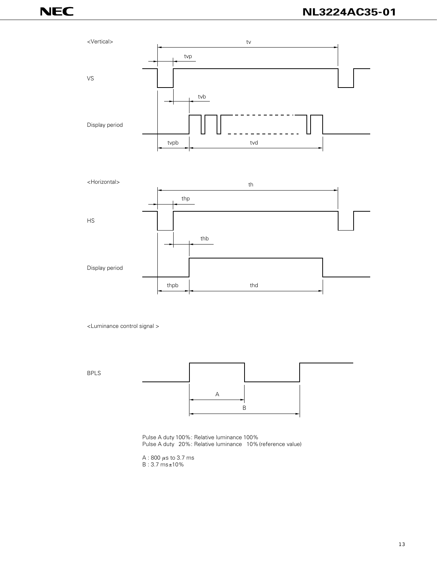



<Luminance control signal >



Pulse A duty 100%: Relative luminance 100% Pulse A duty 20%: Relative luminance 10% (reference value)

A : 800  $\mu$ s to 3.7 ms B : 3.7 ms±10%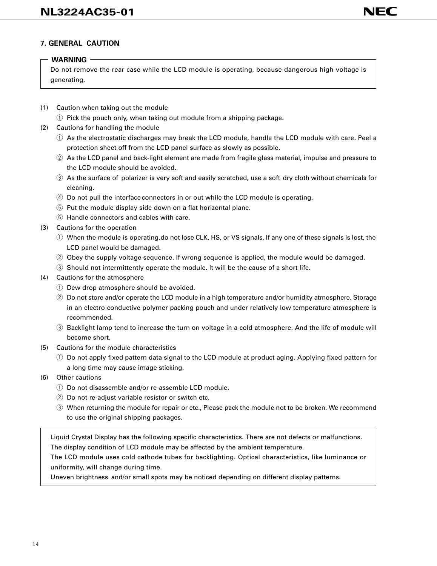# **7. GENERAL CAUTION**

# **WARNING**

Do not remove the rear case while the LCD module is operating, because dangerous high voltage is generating.

(1) Caution when taking out the module

 $\circ$  Pick the pouch only, when taking out module from a shipping package.

- (2) Cautions for handling the module
	- $\overline{q}$  As the electrostatic discharges may break the LCD module, handle the LCD module with care. Peel a protection sheet off from the LCD panel surface as slowly as possible.
	- $(2)$  As the LCD panel and back-light element are made from fragile glass material, impulse and pressure to the LCD module should be avoided.
	- (3) As the surface of polarizer is very soft and easily scratched, use a soft dry cloth without chemicals for cleaning.
	- $\overline{a}$  Do not pull the interface connectors in or out while the LCD module is operating.
	- $\circled{5}$  Put the module display side down on a flat horizontal plane.
	- $(6)$  Handle connectors and cables with care.
- (3) Cautions for the operation
	- $\odot$  When the module is operating,do not lose CLK, HS, or VS signals. If any one of these signals is lost, the LCD panel would be damaged.
	- $Q$  Obey the supply voltage sequence. If wrong sequence is applied, the module would be damaged.
	- e Should not intermittently operate the module. It will be the cause of a short life.
- (4) Cautions for the atmosphere
	- $\circled{1}$  Dew drop atmosphere should be avoided.
	- $Q$  Do not store and/or operate the LCD module in a high temperature and/or humidity atmosphere. Storage in an electro-conductive polymer packing pouch and under relatively low temperature atmosphere is recommended.
	- e Backlight lamp tend to increase the turn on voltage in a cold atmosphere. And the life of module will become short.
- (5) Cautions for the module characteristics
	- $\odot$  Do not apply fixed pattern data signal to the LCD module at product aging. Applying fixed pattern for a long time may cause image sticking.
- (6) Other cautions
	- $\circled{1}$  Do not disassemble and/or re-assemble LCD module.
	- $\hat{v}(2)$  Do not re-adjust variable resistor or switch etc.
	- e When returning the module for repair or etc., Please pack the module not to be broken. We recommend to use the original shipping packages.

Liquid Crystal Display has the following specific characteristics. There are not defects or malfunctions. The display condition of LCD module may be affected by the ambient temperature.

The LCD module uses cold cathode tubes for backlighting. Optical characteristics, like luminance or uniformity, will change during time.

Uneven brightness and/or small spots may be noticed depending on different display patterns.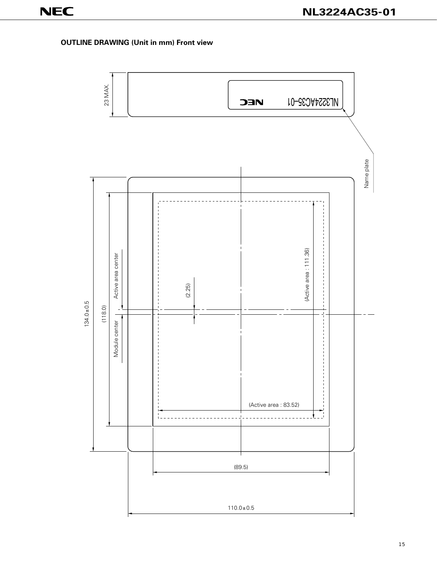# **OUTLINE DRAWING (Unit in mm) Front view**

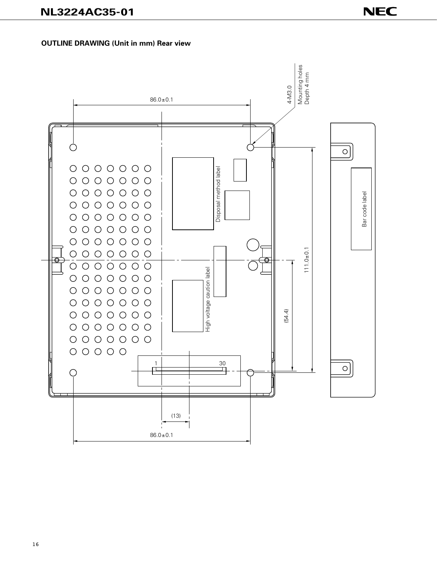# **OUTLINE DRAWING (Unit in mm) Rear view**